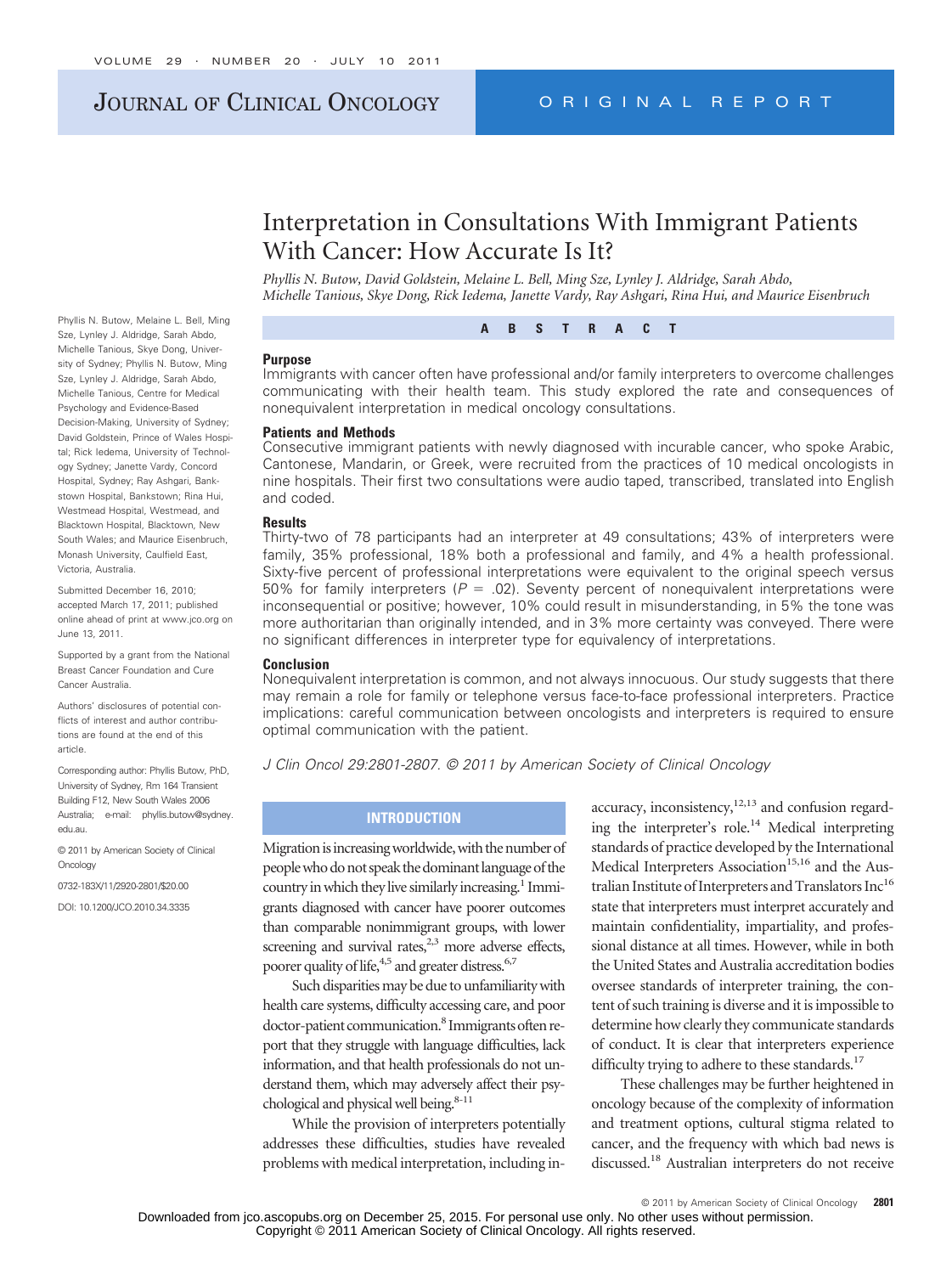# JOURNAL OF CLINICAL ONCOLOGY ORIGINAL REPORT

# Interpretation in Consultations With Immigrant Patients With Cancer: How Accurate Is It?

*Phyllis N. Butow, David Goldstein, Melaine L. Bell, Ming Sze, Lynley J. Aldridge, Sarah Abdo, Michelle Tanious, Skye Dong, Rick Iedema, Janette Vardy, Ray Ashgari, Rina Hui, and Maurice Eisenbruch*

**ABSTRACT**

#### **Purpose**

Immigrants with cancer often have professional and/or family interpreters to overcome challenges communicating with their health team. This study explored the rate and consequences of nonequivalent interpretation in medical oncology consultations.

#### **Patients and Methods**

Consecutive immigrant patients with newly diagnosed with incurable cancer, who spoke Arabic, Cantonese, Mandarin, or Greek, were recruited from the practices of 10 medical oncologists in nine hospitals. Their first two consultations were audio taped, transcribed, translated into English and coded.

### **Results**

Thirty-two of 78 participants had an interpreter at 49 consultations; 43% of interpreters were family, 35% professional, 18% both a professional and family, and 4% a health professional. Sixty-five percent of professional interpretations were equivalent to the original speech versus 50% for family interpreters  $(P = .02)$ . Seventy percent of nonequivalent interpretations were inconsequential or positive; however, 10% could result in misunderstanding, in 5% the tone was more authoritarian than originally intended, and in 3% more certainty was conveyed. There were no significant differences in interpreter type for equivalency of interpretations.

#### **Conclusion**

Nonequivalent interpretation is common, and not always innocuous. Our study suggests that there may remain a role for family or telephone versus face-to-face professional interpreters. Practice implications: careful communication between oncologists and interpreters is required to ensure optimal communication with the patient.

*J Clin Oncol 29:2801-2807. © 2011 by American Society of Clinical Oncology*

## **INTRODUCTION**

Migration is increasing worldwide, with the number of people who do not speak the dominant language of the country in which they live similarly increasing.<sup>1</sup> Immigrants diagnosed with cancer have poorer outcomes than comparable nonimmigrant groups, with lower screening and survival rates, $2,3$  more adverse effects, poorer quality of life,<sup>4,5</sup> and greater distress.<sup>6,7</sup>

Such disparities may be due to unfamiliarity with health care systems, difficulty accessing care, and poor doctor-patient communication.<sup>8</sup> Immigrants often report that they struggle with language difficulties, lack information, and that health professionals do not understand them, which may adversely affect their psychological and physical well being.<sup>8-11</sup>

While the provision of interpreters potentially addresses these difficulties, studies have revealed problems with medical interpretation, including in-

accuracy, inconsistency,<sup>12,13</sup> and confusion regarding the interpreter's role.14 Medical interpreting standards of practice developed by the International Medical Interpreters Association<sup>15,16</sup> and the Australian Institute of Interpreters and Translators  $Inc^{16}$ state that interpreters must interpret accurately and maintain confidentiality, impartiality, and professional distance at all times. However, while in both the United States and Australia accreditation bodies oversee standards of interpreter training, the content of such training is diverse and it is impossible to determine how clearly they communicate standards of conduct. It is clear that interpreters experience difficulty trying to adhere to these standards.<sup>17</sup>

These challenges may be further heightened in oncology because of the complexity of information and treatment options, cultural stigma related to cancer, and the frequency with which bad news is discussed.18 Australian interpreters do not receive

© 2011 by American Society of Clinical Oncology **2801**

Phyllis N. Butow, Melaine L. Bell, Ming Sze, Lynley J. Aldridge, Sarah Abdo, Michelle Tanious, Skye Dong, University of Sydney; Phyllis N. Butow, Ming Sze, Lynley J. Aldridge, Sarah Abdo, Michelle Tanious, Centre for Medical Psychology and Evidence-Based Decision-Making, University of Sydney; David Goldstein, Prince of Wales Hospital; Rick Iedema, University of Technology Sydney; Janette Vardy, Concord Hospital, Sydney; Ray Ashgari, Bankstown Hospital, Bankstown; Rina Hui, Westmead Hospital, Westmead, and Blacktown Hospital, Blacktown, New South Wales; and Maurice Eisenbruch, Monash University, Caulfield East, Victoria, Australia.

Submitted December 16, 2010; accepted March 17, 2011; published online ahead of print at www.jco.org on June 13, 2011.

Supported by a grant from the National Breast Cancer Foundation and Cure Cancer Australia.

Authors' disclosures of potential conflicts of interest and author contributions are found at the end of this article.

Corresponding author: Phyllis Butow, PhD, University of Sydney, Rm 164 Transient Building F12, New South Wales 2006 Australia; e-mail: phyllis.butow@sydney. edu.au.

© 2011 by American Society of Clinical Oncology

0732-183X/11/2920-2801/\$20.00

DOI: 10.1200/JCO.2010.34.3335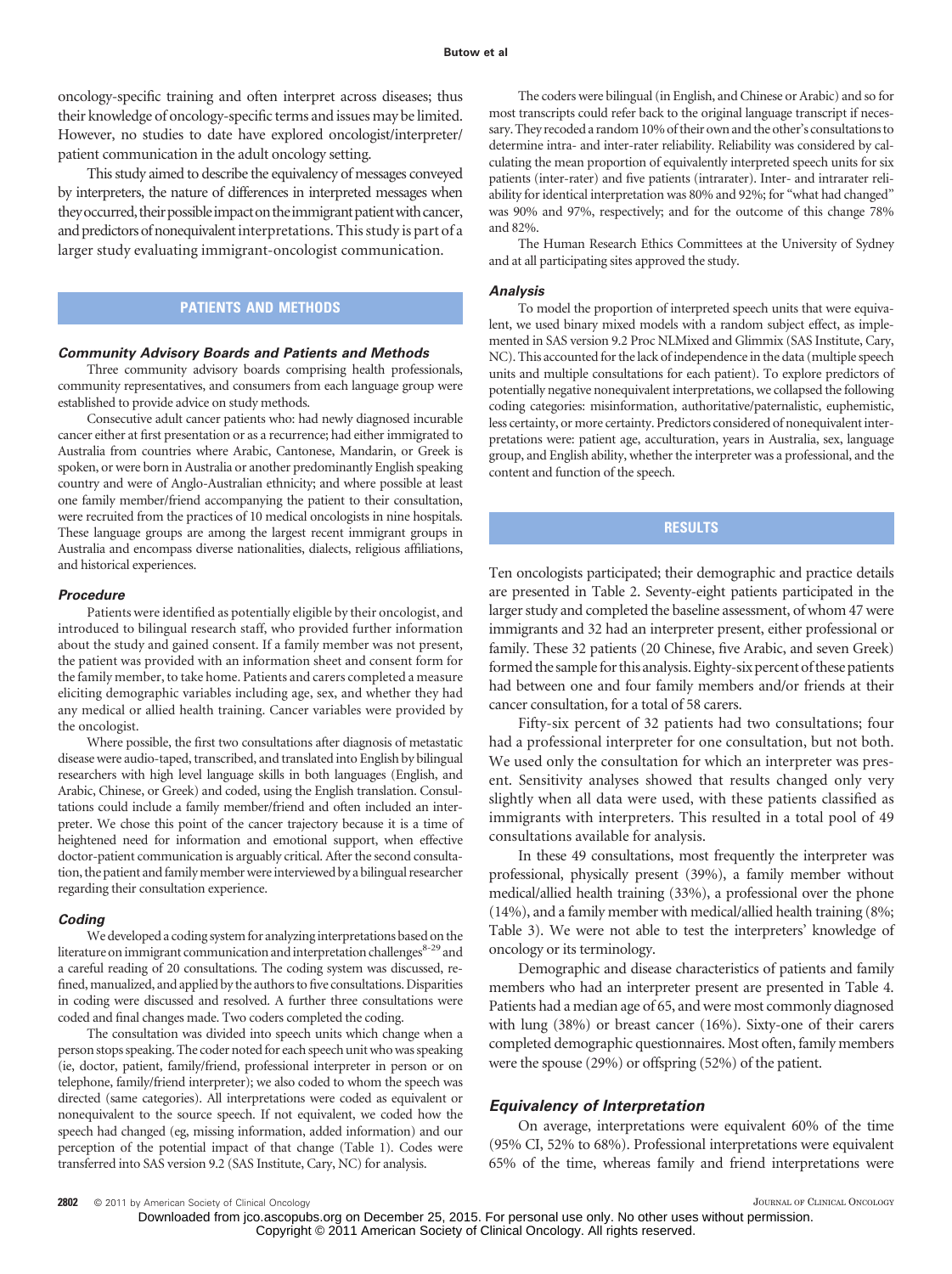oncology-specific training and often interpret across diseases; thus their knowledge of oncology-specific terms and issues may be limited. However, no studies to date have explored oncologist/interpreter/ patient communication in the adult oncology setting.

This study aimed to describe the equivalency of messages conveyed by interpreters, the nature of differences in interpreted messages when they occurred, their possible impact on the immigrant patient with cancer, and predictors of nonequivalentinterpretations. This study is part of a larger study evaluating immigrant-oncologist communication.

## **PATIENTS AND METHODS**

#### *Community Advisory Boards and Patients and Methods*

Three community advisory boards comprising health professionals, community representatives, and consumers from each language group were established to provide advice on study methods.

Consecutive adult cancer patients who: had newly diagnosed incurable cancer either at first presentation or as a recurrence; had either immigrated to Australia from countries where Arabic, Cantonese, Mandarin, or Greek is spoken, or were born in Australia or another predominantly English speaking country and were of Anglo-Australian ethnicity; and where possible at least one family member/friend accompanying the patient to their consultation, were recruited from the practices of 10 medical oncologists in nine hospitals. These language groups are among the largest recent immigrant groups in Australia and encompass diverse nationalities, dialects, religious affiliations, and historical experiences.

#### *Procedure*

Patients were identified as potentially eligible by their oncologist, and introduced to bilingual research staff, who provided further information about the study and gained consent. If a family member was not present, the patient was provided with an information sheet and consent form for the family member, to take home. Patients and carers completed a measure eliciting demographic variables including age, sex, and whether they had any medical or allied health training. Cancer variables were provided by the oncologist.

Where possible, the first two consultations after diagnosis of metastatic disease were audio-taped, transcribed, and translated into English by bilingual researchers with high level language skills in both languages (English, and Arabic, Chinese, or Greek) and coded, using the English translation. Consultations could include a family member/friend and often included an interpreter. We chose this point of the cancer trajectory because it is a time of heightened need for information and emotional support, when effective doctor-patient communication is arguably critical. After the second consultation, the patient and family member were interviewed by a bilingual researcher regarding their consultation experience.

#### *Coding*

We developed a coding system for analyzing interpretations based on the literature on immigrant communication and interpretation challenges<sup>8-29</sup> and a careful reading of 20 consultations. The coding system was discussed, refined, manualized, and applied by the authors to five consultations. Disparities in coding were discussed and resolved. A further three consultations were coded and final changes made. Two coders completed the coding.

The consultation was divided into speech units which change when a person stops speaking. The coder noted for each speech unit who was speaking (ie, doctor, patient, family/friend, professional interpreter in person or on telephone, family/friend interpreter); we also coded to whom the speech was directed (same categories). All interpretations were coded as equivalent or nonequivalent to the source speech. If not equivalent, we coded how the speech had changed (eg, missing information, added information) and our perception of the potential impact of that change (Table 1). Codes were transferred into SAS version 9.2 (SAS Institute, Cary, NC) for analysis.

The coders were bilingual (in English, and Chinese or Arabic) and so for most transcripts could refer back to the original language transcript if necessary. They recoded a random 10% of their own and the other's consultations to determine intra- and inter-rater reliability. Reliability was considered by calculating the mean proportion of equivalently interpreted speech units for six patients (inter-rater) and five patients (intrarater). Inter- and intrarater reliability for identical interpretation was 80% and 92%; for "what had changed" was 90% and 97%, respectively; and for the outcome of this change 78% and 82%.

The Human Research Ethics Committees at the University of Sydney and at all participating sites approved the study.

#### *Analysis*

To model the proportion of interpreted speech units that were equivalent, we used binary mixed models with a random subject effect, as implemented in SAS version 9.2 Proc NLMixed and Glimmix (SAS Institute, Cary, NC). This accounted for the lack of independence in the data (multiple speech units and multiple consultations for each patient). To explore predictors of potentially negative nonequivalent interpretations, we collapsed the following coding categories: misinformation, authoritative/paternalistic, euphemistic, less certainty, or more certainty. Predictors considered of nonequivalent interpretations were: patient age, acculturation, years in Australia, sex, language group, and English ability, whether the interpreter was a professional, and the content and function of the speech.

## **RESULTS**

Ten oncologists participated; their demographic and practice details are presented in Table 2. Seventy-eight patients participated in the larger study and completed the baseline assessment, of whom 47 were immigrants and 32 had an interpreter present, either professional or family. These 32 patients (20 Chinese, five Arabic, and seven Greek) formed the sample for this analysis. Eighty-six percent of these patients had between one and four family members and/or friends at their cancer consultation, for a total of 58 carers.

Fifty-six percent of 32 patients had two consultations; four had a professional interpreter for one consultation, but not both. We used only the consultation for which an interpreter was present. Sensitivity analyses showed that results changed only very slightly when all data were used, with these patients classified as immigrants with interpreters. This resulted in a total pool of 49 consultations available for analysis.

In these 49 consultations, most frequently the interpreter was professional, physically present (39%), a family member without medical/allied health training (33%), a professional over the phone (14%), and a family member with medical/allied health training (8%; Table 3). We were not able to test the interpreters' knowledge of oncology or its terminology.

Demographic and disease characteristics of patients and family members who had an interpreter present are presented in Table 4. Patients had a median age of 65, and were most commonly diagnosed with lung (38%) or breast cancer (16%). Sixty-one of their carers completed demographic questionnaires. Most often, family members were the spouse (29%) or offspring (52%) of the patient.

#### *Equivalency of Interpretation*

On average, interpretations were equivalent 60% of the time (95% CI, 52% to 68%). Professional interpretations were equivalent 65% of the time, whereas family and friend interpretations were

Downloaded from jco.ascopubs.org on December 25, 2015. For personal use only. No other uses without permission. Copyright © 2011 American Society of Clinical Oncology. All rights reserved.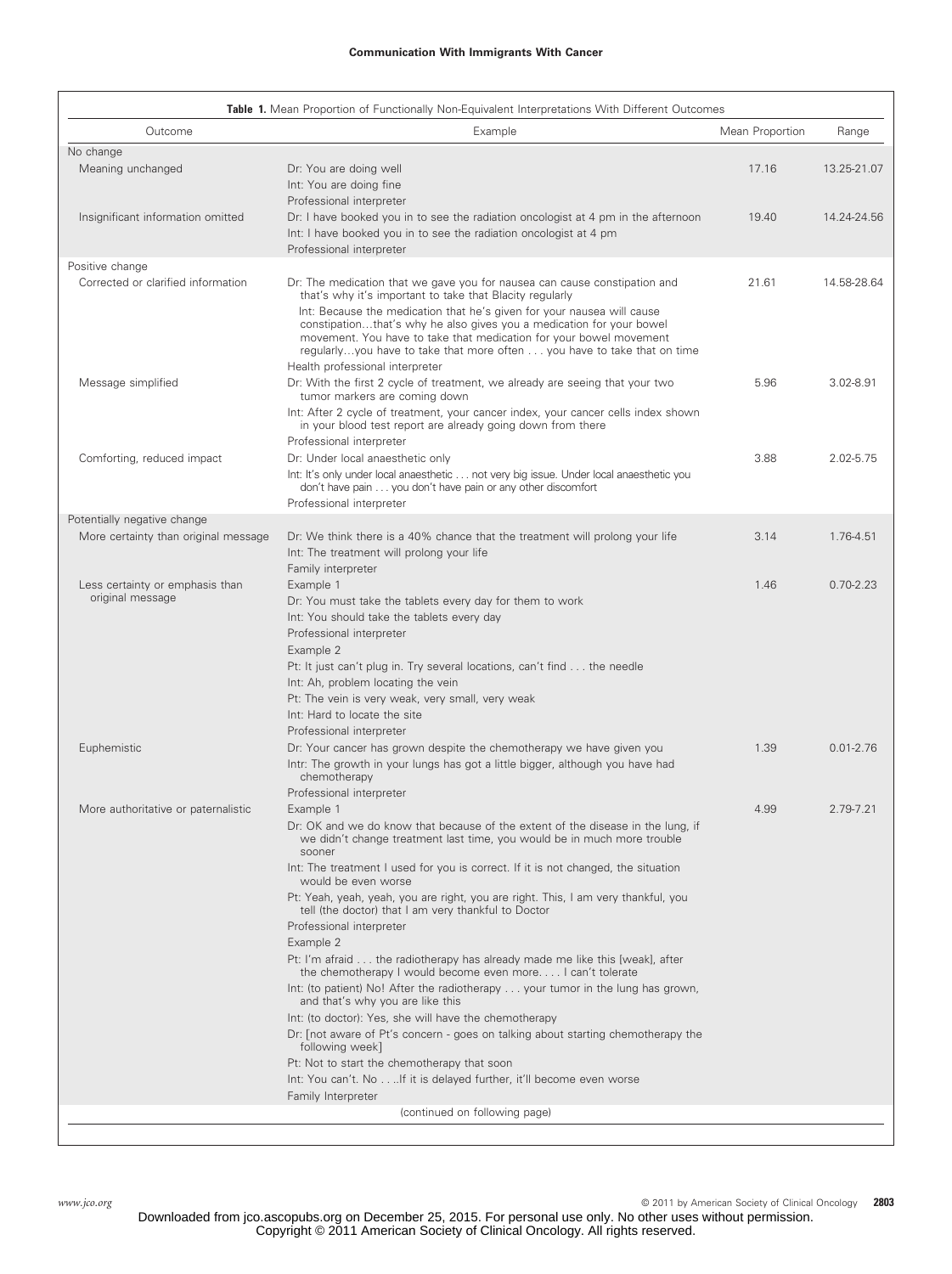#### **Communication With Immigrants With Cancer**

|                                      | Table 1. Mean Proportion of Functionally Non-Equivalent Interpretations With Different Outcomes                                                                                                                                                                                                                                                                                                                                                                                                                                                                                                                                                                                                                                                                                                                                                                                                                                                                      |                 |               |
|--------------------------------------|----------------------------------------------------------------------------------------------------------------------------------------------------------------------------------------------------------------------------------------------------------------------------------------------------------------------------------------------------------------------------------------------------------------------------------------------------------------------------------------------------------------------------------------------------------------------------------------------------------------------------------------------------------------------------------------------------------------------------------------------------------------------------------------------------------------------------------------------------------------------------------------------------------------------------------------------------------------------|-----------------|---------------|
| Outcome                              | Example                                                                                                                                                                                                                                                                                                                                                                                                                                                                                                                                                                                                                                                                                                                                                                                                                                                                                                                                                              | Mean Proportion | Range         |
| No change                            |                                                                                                                                                                                                                                                                                                                                                                                                                                                                                                                                                                                                                                                                                                                                                                                                                                                                                                                                                                      |                 |               |
| Meaning unchanged                    | Dr: You are doing well<br>Int: You are doing fine<br>Professional interpreter                                                                                                                                                                                                                                                                                                                                                                                                                                                                                                                                                                                                                                                                                                                                                                                                                                                                                        | 17.16           | 13.25-21.07   |
| Insignificant information omitted    | Dr: I have booked you in to see the radiation oncologist at 4 pm in the afternoon                                                                                                                                                                                                                                                                                                                                                                                                                                                                                                                                                                                                                                                                                                                                                                                                                                                                                    | 19.40           | 14.24-24.56   |
|                                      | Int: I have booked you in to see the radiation oncologist at 4 pm<br>Professional interpreter                                                                                                                                                                                                                                                                                                                                                                                                                                                                                                                                                                                                                                                                                                                                                                                                                                                                        |                 |               |
| Positive change                      |                                                                                                                                                                                                                                                                                                                                                                                                                                                                                                                                                                                                                                                                                                                                                                                                                                                                                                                                                                      |                 |               |
| Corrected or clarified information   | Dr: The medication that we gave you for nausea can cause constipation and<br>that's why it's important to take that Blacity regularly<br>Int: Because the medication that he's given for your nausea will cause<br>constipationthat's why he also gives you a medication for your bowel<br>movement. You have to take that medication for your bowel movement<br>regularlyyou have to take that more often  you have to take that on time<br>Health professional interpreter                                                                                                                                                                                                                                                                                                                                                                                                                                                                                         | 21.61           | 14.58-28.64   |
| Message simplified                   | Dr: With the first 2 cycle of treatment, we already are seeing that your two                                                                                                                                                                                                                                                                                                                                                                                                                                                                                                                                                                                                                                                                                                                                                                                                                                                                                         | 5.96            | 3.02-8.91     |
|                                      | tumor markers are coming down<br>Int: After 2 cycle of treatment, your cancer index, your cancer cells index shown<br>in your blood test report are already going down from there                                                                                                                                                                                                                                                                                                                                                                                                                                                                                                                                                                                                                                                                                                                                                                                    |                 |               |
|                                      | Professional interpreter                                                                                                                                                                                                                                                                                                                                                                                                                                                                                                                                                                                                                                                                                                                                                                                                                                                                                                                                             |                 |               |
| Comforting, reduced impact           | Dr: Under local anaesthetic only<br>Int: It's only under local anaesthetic not very big issue. Under local anaesthetic you<br>don't have pain you don't have pain or any other discomfort<br>Professional interpreter                                                                                                                                                                                                                                                                                                                                                                                                                                                                                                                                                                                                                                                                                                                                                | 3.88            | 2.02-5.75     |
| Potentially negative change          |                                                                                                                                                                                                                                                                                                                                                                                                                                                                                                                                                                                                                                                                                                                                                                                                                                                                                                                                                                      |                 |               |
| More certainty than original message | Dr: We think there is a 40% chance that the treatment will prolong your life<br>Int: The treatment will prolong your life<br>Family interpreter                                                                                                                                                                                                                                                                                                                                                                                                                                                                                                                                                                                                                                                                                                                                                                                                                      | 3.14            | 1.76-4.51     |
| Less certainty or emphasis than      | Example 1                                                                                                                                                                                                                                                                                                                                                                                                                                                                                                                                                                                                                                                                                                                                                                                                                                                                                                                                                            | 1.46            | $0.70 - 2.23$ |
| original message                     | Dr: You must take the tablets every day for them to work<br>Int: You should take the tablets every day<br>Professional interpreter<br>Example 2<br>Pt: It just can't plug in. Try several locations, can't find the needle<br>Int: Ah, problem locating the vein<br>Pt: The vein is very weak, very small, very weak<br>Int: Hard to locate the site<br>Professional interpreter                                                                                                                                                                                                                                                                                                                                                                                                                                                                                                                                                                                     |                 |               |
| Euphemistic                          | Dr: Your cancer has grown despite the chemotherapy we have given you<br>Intr: The growth in your lungs has got a little bigger, although you have had<br>chemotherapy                                                                                                                                                                                                                                                                                                                                                                                                                                                                                                                                                                                                                                                                                                                                                                                                | 1.39            | $0.01 - 2.76$ |
|                                      | Professional interpreter                                                                                                                                                                                                                                                                                                                                                                                                                                                                                                                                                                                                                                                                                                                                                                                                                                                                                                                                             |                 |               |
| More authoritative or paternalistic  | Example 1<br>Dr: OK and we do know that because of the extent of the disease in the lung, if<br>we didn't change treatment last time, you would be in much more trouble<br>sooner<br>Int: The treatment I used for you is correct. If it is not changed, the situation<br>would be even worse<br>Pt: Yeah, yeah, yeah, you are right, you are right. This, I am very thankful, you<br>tell (the doctor) that I am very thankful to Doctor<br>Professional interpreter<br>Example 2<br>Pt: I'm afraid the radiotherapy has already made me like this [weak], after<br>the chemotherapy I would become even more I can't tolerate<br>Int: (to patient) No! After the radiotherapy your tumor in the lung has grown,<br>and that's why you are like this<br>Int: (to doctor): Yes, she will have the chemotherapy<br>Dr: [not aware of Pt's concern - goes on talking about starting chemotherapy the<br>following week]<br>Pt: Not to start the chemotherapy that soon | 4.99            | 2.79-7.21     |
|                                      | Int: You can't. No. If it is delayed further, it'll become even worse                                                                                                                                                                                                                                                                                                                                                                                                                                                                                                                                                                                                                                                                                                                                                                                                                                                                                                |                 |               |
|                                      | Family Interpreter                                                                                                                                                                                                                                                                                                                                                                                                                                                                                                                                                                                                                                                                                                                                                                                                                                                                                                                                                   |                 |               |
|                                      | (continued on following page)                                                                                                                                                                                                                                                                                                                                                                                                                                                                                                                                                                                                                                                                                                                                                                                                                                                                                                                                        |                 |               |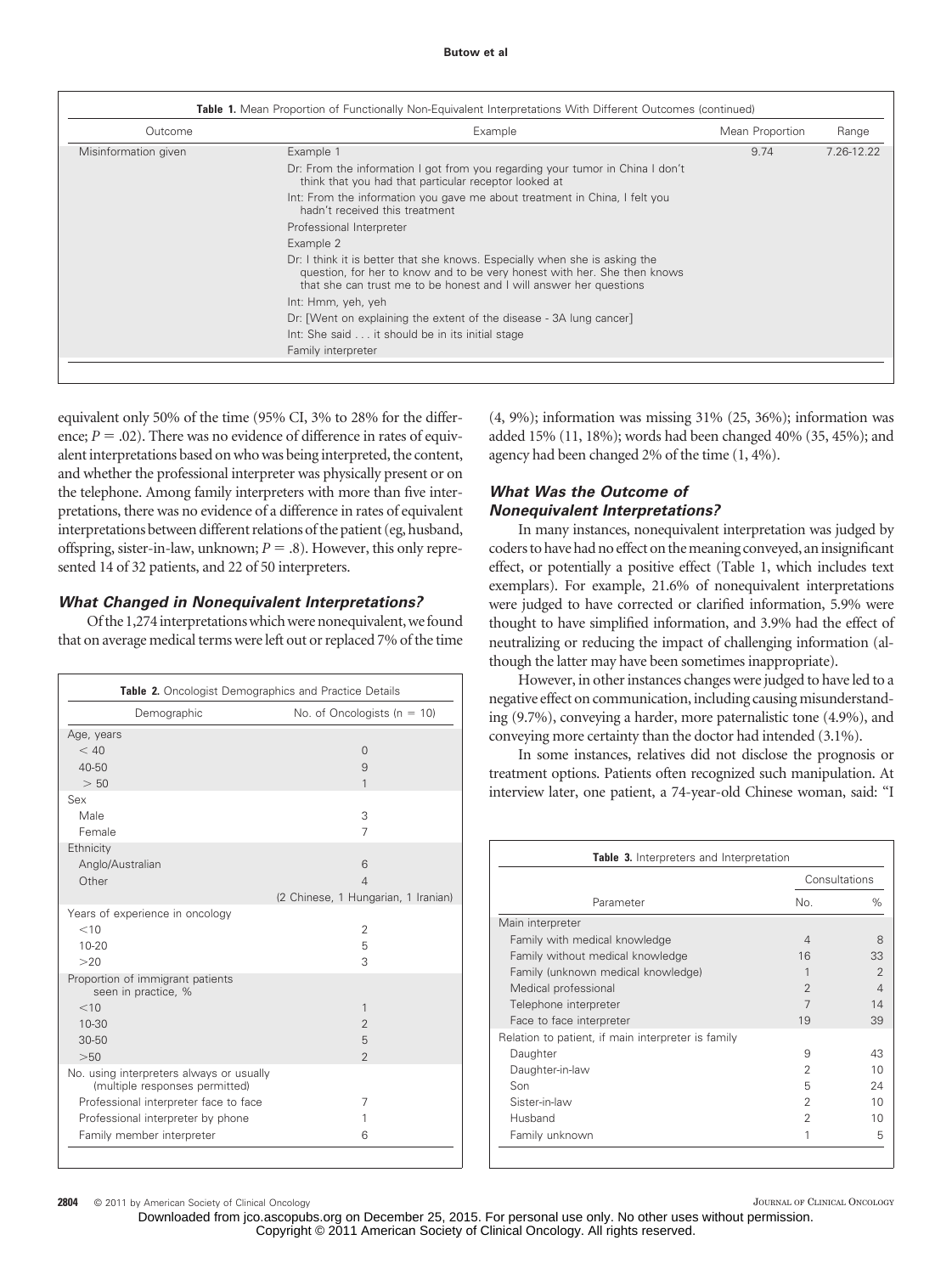| Outcome              | Example                                                                                                                                                                                                                      | Mean Proportion | Range      |
|----------------------|------------------------------------------------------------------------------------------------------------------------------------------------------------------------------------------------------------------------------|-----------------|------------|
| Misinformation given | Example 1                                                                                                                                                                                                                    | 9.74            | 7.26-12.22 |
|                      | Dr: From the information I got from you regarding your tumor in China I don't<br>think that you had that particular receptor looked at                                                                                       |                 |            |
|                      | Int: From the information you gave me about treatment in China, I felt you<br>hadn't received this treatment                                                                                                                 |                 |            |
|                      | Professional Interpreter                                                                                                                                                                                                     |                 |            |
|                      | Example 2                                                                                                                                                                                                                    |                 |            |
|                      | Dr: I think it is better that she knows. Especially when she is asking the<br>question, for her to know and to be very honest with her. She then knows<br>that she can trust me to be honest and I will answer her questions |                 |            |
|                      | Int: Hmm, yeh, yeh                                                                                                                                                                                                           |                 |            |
|                      | Dr: Went on explaining the extent of the disease - 3A lung cancer                                                                                                                                                            |                 |            |
|                      | Int: She said it should be in its initial stage                                                                                                                                                                              |                 |            |
|                      | Family interpreter                                                                                                                                                                                                           |                 |            |

equivalent only 50% of the time (95% CI, 3% to 28% for the difference;  $P = .02$ ). There was no evidence of difference in rates of equivalent interpretations based on who was being interpreted, the content, and whether the professional interpreter was physically present or on the telephone. Among family interpreters with more than five interpretations, there was no evidence of a difference in rates of equivalent interpretations between different relations of the patient (eg, husband, offspring, sister-in-law, unknown;  $P = .8$ ). However, this only represented 14 of 32 patients, and 22 of 50 interpreters.

### *What Changed in Nonequivalent Interpretations?*

Of the 1,274 interpretations which were nonequivalent, we found that on average medical terms were left out or replaced 7% of the time

| Demographic                                                                | No. of Oncologists ( $n = 10$ )     |
|----------------------------------------------------------------------------|-------------------------------------|
| Age, years                                                                 |                                     |
| < 40                                                                       | $\Omega$                            |
| $40 - 50$                                                                  | 9                                   |
| > 50                                                                       | $\mathbf{1}$                        |
| Sex                                                                        |                                     |
| Male                                                                       | 3                                   |
| Female                                                                     | $\overline{7}$                      |
| Ethnicity                                                                  |                                     |
| Anglo/Australian                                                           | 6                                   |
| Other                                                                      | $\overline{4}$                      |
|                                                                            | (2 Chinese, 1 Hungarian, 1 Iranian) |
| Years of experience in oncology                                            |                                     |
| < 10                                                                       | $\overline{2}$                      |
| $10 - 20$                                                                  | 5                                   |
| >20                                                                        | 3                                   |
| Proportion of immigrant patients<br>seen in practice, %                    |                                     |
| < 10                                                                       | 1                                   |
| $10 - 30$                                                                  | $\overline{2}$                      |
| $30 - 50$                                                                  | 5                                   |
| >50                                                                        | $\overline{2}$                      |
| No. using interpreters always or usually<br>(multiple responses permitted) |                                     |
| Professional interpreter face to face                                      | 7                                   |
| Professional interpreter by phone                                          | 1                                   |
| Family member interpreter                                                  | 6                                   |

(4, 9%); information was missing 31% (25, 36%); information was added 15% (11, 18%); words had been changed 40% (35, 45%); and agency had been changed 2% of the time (1, 4%).

## *What Was the Outcome of Nonequivalent Interpretations?*

In many instances, nonequivalent interpretation was judged by coders to have had no effect on the meaning conveyed, an insignificant effect, or potentially a positive effect (Table 1, which includes text exemplars). For example, 21.6% of nonequivalent interpretations were judged to have corrected or clarified information, 5.9% were thought to have simplified information, and 3.9% had the effect of neutralizing or reducing the impact of challenging information (although the latter may have been sometimes inappropriate).

However, in other instances changes were judged to have led to a negative effect on communication, including causing misunderstanding (9.7%), conveying a harder, more paternalistic tone (4.9%), and conveying more certainty than the doctor had intended (3.1%).

In some instances, relatives did not disclose the prognosis or treatment options. Patients often recognized such manipulation. At interview later, one patient, a 74-year-old Chinese woman, said: "I

|                                                    | Consultations  |                          |
|----------------------------------------------------|----------------|--------------------------|
| Parameter                                          | No.            | $\%$                     |
| Main interpreter                                   |                |                          |
| Family with medical knowledge                      | $\overline{4}$ | 8                        |
| Family without medical knowledge                   | 16             | 33                       |
| Family (unknown medical knowledge)                 |                | $\mathfrak{D}$           |
| Medical professional                               | $\mathcal{P}$  | $\overline{\mathcal{A}}$ |
| Telephone interpreter                              | 7              | 14                       |
| Face to face interpreter                           | 19             | 39                       |
| Relation to patient, if main interpreter is family |                |                          |
| Daughter                                           | 9              | 43                       |
| Daughter-in-law                                    | 2              | 10                       |
| Son                                                | 5              | 24                       |
| Sister-in-law                                      | 2              | 10                       |
| Husband                                            | 2              | 10                       |
| Family unknown                                     | 1              | 5                        |

**2804** © 2011 by American Society of Clinical Oncology **JOURNAL OF CLINICAL ONCOLOGY** JOURNAL OF CLINICAL ONCOLOGY

Downloaded from jco.ascopubs.org on December 25, 2015. For personal use only. No other uses without permission. Copyright © 2011 American Society of Clinical Oncology. All rights reserved.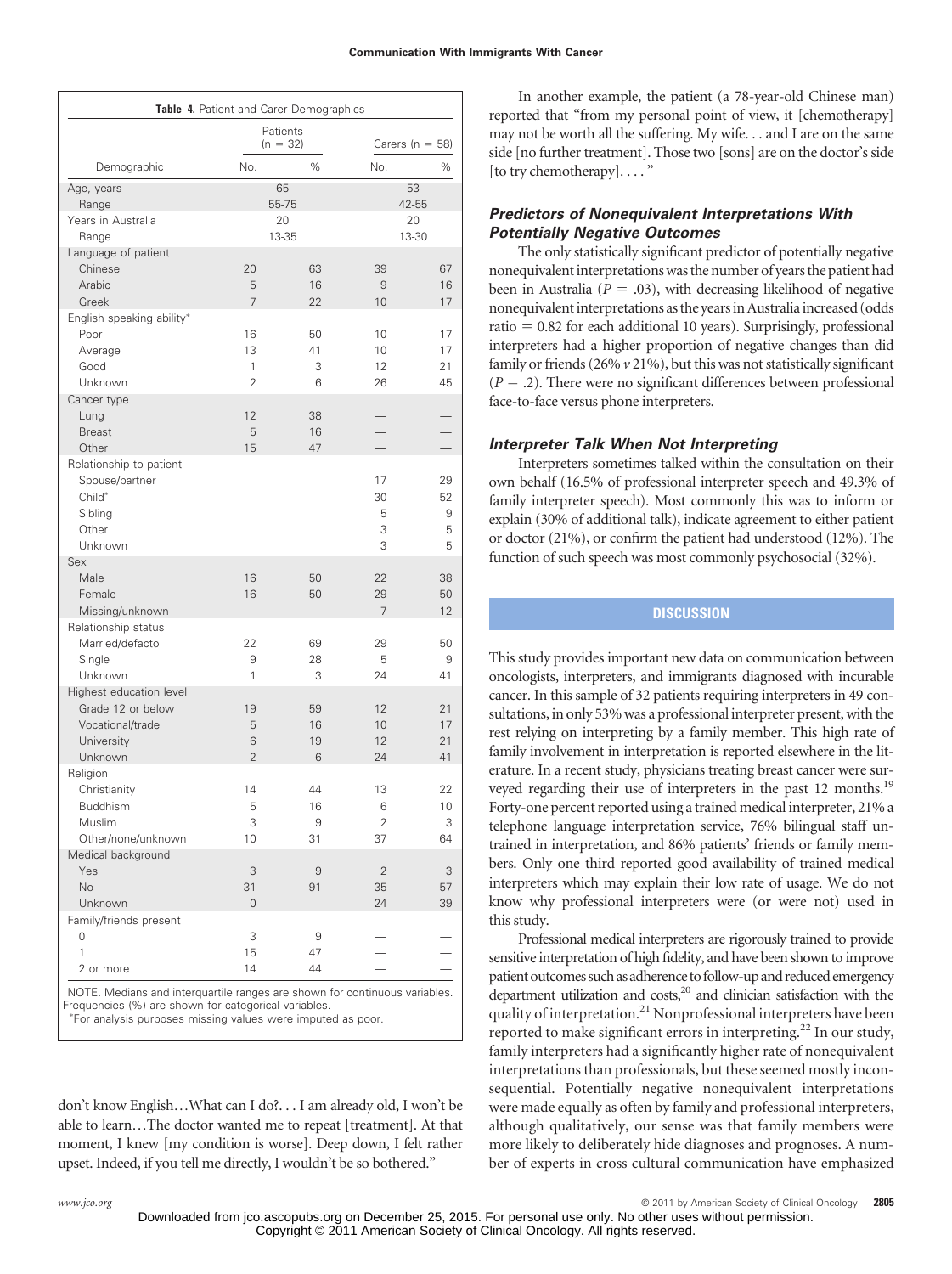|                                        |                | Table 4. Patient and Carer Demographics |                            |          |
|----------------------------------------|----------------|-----------------------------------------|----------------------------|----------|
|                                        |                | Patients                                |                            |          |
| Demographic                            | No.            | $(n = 32)$<br>%                         | Carers ( $n = 58$ )<br>No. | $\%$     |
| Age, years                             |                | 65                                      | 53                         |          |
| Range                                  |                | 55-75                                   | 42-55                      |          |
| Years in Australia                     |                | 20<br>13-35                             | 20<br>13-30                |          |
| Range<br>Language of patient           |                |                                         |                            |          |
| Chinese                                | 20             | 63                                      | 39                         | 67       |
| Arabic                                 | 5              | 16                                      | 9                          | 16       |
| Greek                                  | $\overline{7}$ | 22                                      | 10                         | 17       |
| English speaking ability*<br>Poor      | 16             | 50                                      | 10                         | 17       |
| Average                                | 13             | 41                                      | 10                         | 17       |
| Good                                   | 1              | 3                                       | 12                         | 21       |
| Unknown                                | $\overline{2}$ | 6                                       | 26                         | 45       |
| Cancer type                            |                |                                         |                            |          |
| Lung<br><b>Breast</b>                  | 12<br>5        | 38<br>16                                |                            |          |
| Other                                  | 15             | 47                                      |                            |          |
| Relationship to patient                |                |                                         |                            |          |
| Spouse/partner                         |                |                                         | 17                         | 29       |
| Child*                                 |                |                                         | 30                         | 52       |
| Sibling                                |                |                                         | 5                          | 9        |
| Other<br>Unknown                       |                |                                         | 3<br>3                     | 5<br>5   |
| Sex                                    |                |                                         |                            |          |
| Male                                   | 16             | 50                                      | 22                         | 38       |
| Female                                 | 16             | 50                                      | 29                         | 50       |
| Missing/unknown                        |                |                                         | 7                          | 12       |
| Relationship status<br>Married/defacto | 22             | 69                                      | 29                         | 50       |
| Single                                 | 9              | 28                                      | 5                          | 9        |
| Unknown                                | 1              | 3                                       | 24                         | 41       |
| Highest education level                |                |                                         |                            |          |
| Grade 12 or below                      | 19             | 59                                      | 12                         | 21       |
| Vocational/trade<br>University         | 5<br>6         | 16<br>19                                | 10<br>12                   | 17<br>21 |
| Unknown                                | $\overline{2}$ | 6                                       | 24                         | 41       |
| Religion                               |                |                                         |                            |          |
| Christianity                           | 14             | 44                                      | 13                         | 22       |
| <b>Buddhism</b>                        | 5              | 16                                      | 6                          | 10       |
| Muslim<br>Other/none/unknown           | 3<br>10        | 9<br>31                                 | 2<br>37                    | 3<br>64  |
| Medical background                     |                |                                         |                            |          |
| Yes                                    | 3              | 9                                       | $\overline{2}$             | 3        |
| <b>No</b>                              | 31             | 91                                      | 35                         | 57       |
| Unknown                                | $\mathbf 0$    |                                         | 24                         | 39       |
| Family/friends present<br>0            | 3              | 9                                       |                            |          |
| $\mathbf{1}$                           | 15             | 47                                      |                            |          |
| 2 or more                              | 14             | 44                                      |                            |          |

NOTE. Medians and interquartile ranges are shown for continuous variables. Frequencies (%) are shown for categorical variables.

For analysis purposes missing values were imputed as poor.

don't know English…What can I do?. . . I am already old, I won't be able to learn…The doctor wanted me to repeat [treatment]. At that moment, I knew [my condition is worse]. Deep down, I felt rather upset. Indeed, if you tell me directly, I wouldn't be so bothered."

In another example, the patient (a 78-year-old Chinese man) reported that "from my personal point of view, it [chemotherapy] may not be worth all the suffering. My wife. . . and I are on the same side [no further treatment]. Those two [sons] are on the doctor's side [to try chemotherapy]...."

## *Predictors of Nonequivalent Interpretations With Potentially Negative Outcomes*

The only statistically significant predictor of potentially negative nonequivalent interpretations was the number of years the patient had been in Australia ( $P = .03$ ), with decreasing likelihood of negative nonequivalent interpretations as the years in Australia increased (odds ratio  $= 0.82$  for each additional 10 years). Surprisingly, professional interpreters had a higher proportion of negative changes than did family or friends (26% *v* 21%), but this was not statistically significant  $(P = .2)$ . There were no significant differences between professional face-to-face versus phone interpreters.

### *Interpreter Talk When Not Interpreting*

Interpreters sometimes talked within the consultation on their own behalf (16.5% of professional interpreter speech and 49.3% of family interpreter speech). Most commonly this was to inform or explain (30% of additional talk), indicate agreement to either patient or doctor (21%), or confirm the patient had understood (12%). The function of such speech was most commonly psychosocial (32%).

# **DISCUSSION**

This study provides important new data on communication between oncologists, interpreters, and immigrants diagnosed with incurable cancer. In this sample of 32 patients requiring interpreters in 49 consultations, in only 53% was a professional interpreter present, with the rest relying on interpreting by a family member. This high rate of family involvement in interpretation is reported elsewhere in the literature. In a recent study, physicians treating breast cancer were surveyed regarding their use of interpreters in the past 12 months.<sup>19</sup> Forty-one percent reported using a trained medical interpreter, 21% a telephone language interpretation service, 76% bilingual staff untrained in interpretation, and 86% patients' friends or family members. Only one third reported good availability of trained medical interpreters which may explain their low rate of usage. We do not know why professional interpreters were (or were not) used in this study.

Professional medical interpreters are rigorously trained to provide sensitive interpretation of high fidelity, and have been shown to improve patient outcomes such as adherence to follow-up and reduced emergency department utilization and costs,<sup>20</sup> and clinician satisfaction with the quality of interpretation.<sup>21</sup> Nonprofessional interpreters have been reported to make significant errors in interpreting.<sup>22</sup> In our study, family interpreters had a significantly higher rate of nonequivalent interpretations than professionals, but these seemed mostly inconsequential. Potentially negative nonequivalent interpretations were made equally as often by family and professional interpreters, although qualitatively, our sense was that family members were more likely to deliberately hide diagnoses and prognoses. A number of experts in cross cultural communication have emphasized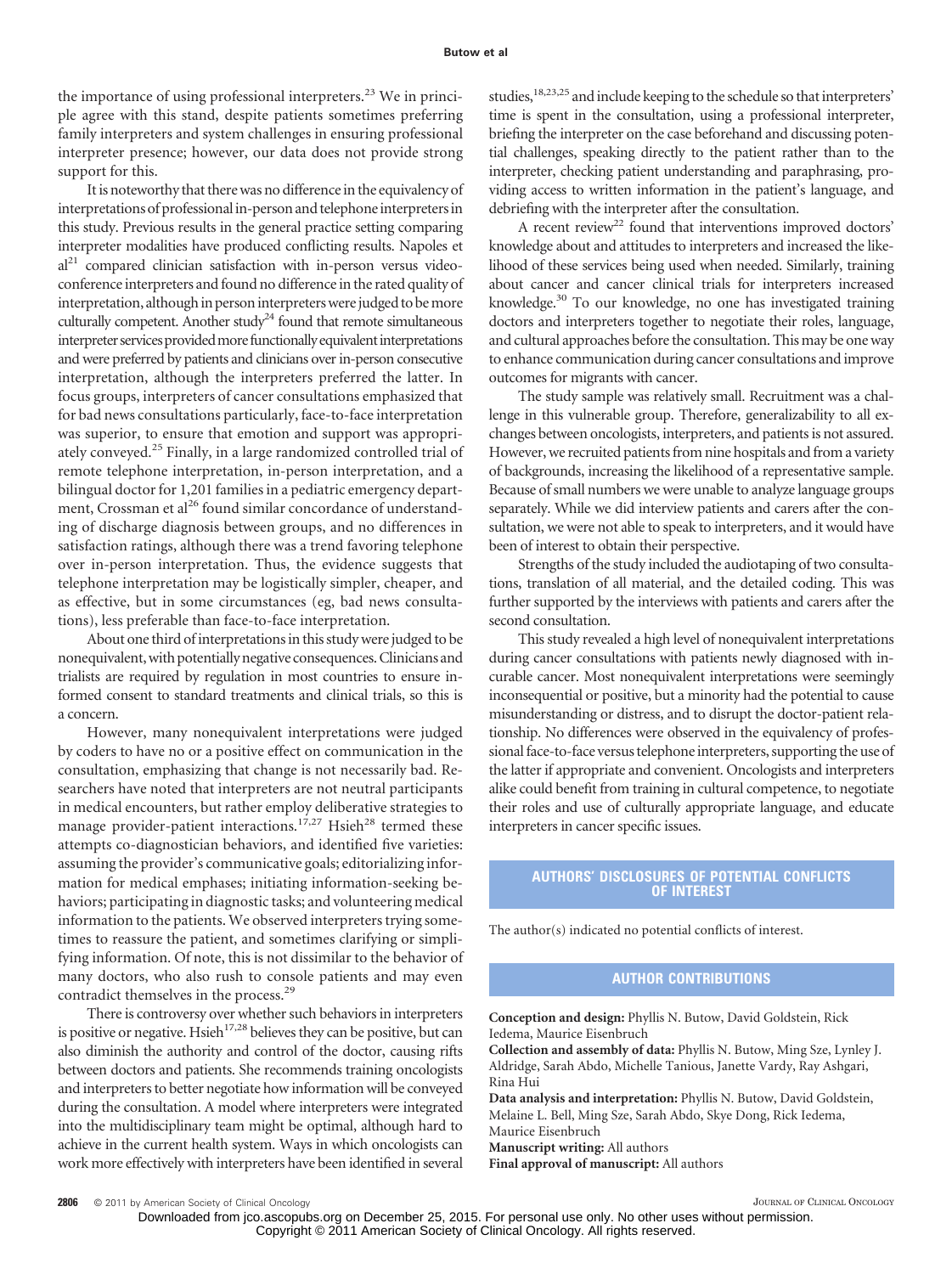#### **Butow et al**

the importance of using professional interpreters.<sup>23</sup> We in principle agree with this stand, despite patients sometimes preferring family interpreters and system challenges in ensuring professional interpreter presence; however, our data does not provide strong support for this.

It is noteworthy that there was no difference in the equivalency of interpretations of professional in-person and telephone interpreters in this study. Previous results in the general practice setting comparing interpreter modalities have produced conflicting results. Napoles et  $al<sup>21</sup>$  compared clinician satisfaction with in-person versus videoconference interpreters and found no difference in the rated quality of interpretation, although in person interpreters were judged to be more culturally competent. Another study<sup>24</sup> found that remote simultaneous interpreter services provided more functionally equivalent interpretations and were preferred by patients and clinicians over in-person consecutive interpretation, although the interpreters preferred the latter. In focus groups, interpreters of cancer consultations emphasized that for bad news consultations particularly, face-to-face interpretation was superior, to ensure that emotion and support was appropriately conveyed.<sup>25</sup> Finally, in a large randomized controlled trial of remote telephone interpretation, in-person interpretation, and a bilingual doctor for 1,201 families in a pediatric emergency department, Crossman et al<sup>26</sup> found similar concordance of understanding of discharge diagnosis between groups, and no differences in satisfaction ratings, although there was a trend favoring telephone over in-person interpretation. Thus, the evidence suggests that telephone interpretation may be logistically simpler, cheaper, and as effective, but in some circumstances (eg, bad news consultations), less preferable than face-to-face interpretation.

About one third of interpretations in this study were judged to be nonequivalent,with potentially negative consequences.Clinicians and trialists are required by regulation in most countries to ensure informed consent to standard treatments and clinical trials, so this is a concern.

However, many nonequivalent interpretations were judged by coders to have no or a positive effect on communication in the consultation, emphasizing that change is not necessarily bad. Researchers have noted that interpreters are not neutral participants in medical encounters, but rather employ deliberative strategies to manage provider-patient interactions.<sup>17,27</sup> Hsieh<sup>28</sup> termed these attempts co-diagnostician behaviors, and identified five varieties: assuming the provider's communicative goals; editorializing information for medical emphases; initiating information-seeking behaviors; participating in diagnostic tasks; and volunteering medical information to the patients. We observed interpreters trying sometimes to reassure the patient, and sometimes clarifying or simplifying information. Of note, this is not dissimilar to the behavior of many doctors, who also rush to console patients and may even contradict themselves in the process.<sup>29</sup>

There is controversy over whether such behaviors in interpreters is positive or negative. Hsieh $17,28$  believes they can be positive, but can also diminish the authority and control of the doctor, causing rifts between doctors and patients. She recommends training oncologists and interpreters to better negotiate how information will be conveyed during the consultation. A model where interpreters were integrated into the multidisciplinary team might be optimal, although hard to achieve in the current health system. Ways in which oncologists can work more effectively with interpreters have been identified in several

studies,18,23,25 and include keeping to the schedule so that interpreters' time is spent in the consultation, using a professional interpreter, briefing the interpreter on the case beforehand and discussing potential challenges, speaking directly to the patient rather than to the interpreter, checking patient understanding and paraphrasing, providing access to written information in the patient's language, and debriefing with the interpreter after the consultation.

A recent review<sup>22</sup> found that interventions improved doctors' knowledge about and attitudes to interpreters and increased the likelihood of these services being used when needed. Similarly, training about cancer and cancer clinical trials for interpreters increased knowledge.<sup>30</sup> To our knowledge, no one has investigated training doctors and interpreters together to negotiate their roles, language, and cultural approaches before the consultation. This may be one way to enhance communication during cancer consultations and improve outcomes for migrants with cancer.

The study sample was relatively small. Recruitment was a challenge in this vulnerable group. Therefore, generalizability to all exchanges between oncologists, interpreters, and patients is not assured. However, we recruited patients from nine hospitals and from a variety of backgrounds, increasing the likelihood of a representative sample. Because of small numbers we were unable to analyze language groups separately. While we did interview patients and carers after the consultation, we were not able to speak to interpreters, and it would have been of interest to obtain their perspective.

Strengths of the study included the audiotaping of two consultations, translation of all material, and the detailed coding. This was further supported by the interviews with patients and carers after the second consultation.

This study revealed a high level of nonequivalent interpretations during cancer consultations with patients newly diagnosed with incurable cancer. Most nonequivalent interpretations were seemingly inconsequential or positive, but a minority had the potential to cause misunderstanding or distress, and to disrupt the doctor-patient relationship. No differences were observed in the equivalency of professional face-to-face versus telephone interpreters, supporting the use of the latter if appropriate and convenient. Oncologists and interpreters alike could benefit from training in cultural competence, to negotiate their roles and use of culturally appropriate language, and educate interpreters in cancer specific issues.

### **AUTHORS' DISCLOSURES OF POTENTIAL CONFLICTS OF INTEREST**

The author(s) indicated no potential conflicts of interest.

## **AUTHOR CONTRIBUTIONS**

**Conception and design:** Phyllis N. Butow, David Goldstein, Rick Iedema, Maurice Eisenbruch

**Collection and assembly of data:** Phyllis N. Butow, Ming Sze, Lynley J. Aldridge, Sarah Abdo, Michelle Tanious, Janette Vardy, Ray Ashgari, Rina Hui

**Data analysis and interpretation:** Phyllis N. Butow, David Goldstein, Melaine L. Bell, Ming Sze, Sarah Abdo, Skye Dong, Rick Iedema, Maurice Eisenbruch **Manuscript writing:** All authors

**Final approval of manuscript:** All authors